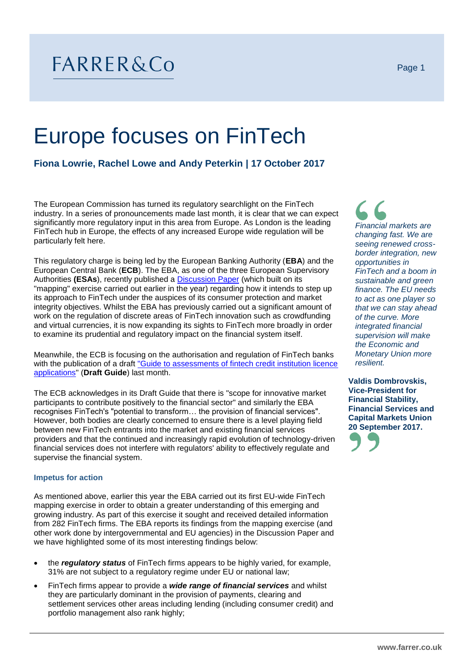# FARRER&Co

# Europe focuses on FinTech

**Fiona Lowrie, Rachel Lowe and Andy Peterkin | 17 October 2017**

The European Commission has turned its regulatory searchlight on the FinTech industry. In a series of pronouncements made last month, it is clear that we can expect significantly more regulatory input in this area from Europe. As London is the leading FinTech hub in Europe, the effects of any increased Europe wide regulation will be particularly felt here.

This regulatory charge is being led by the European Banking Authority (**EBA**) and the European Central Bank (**ECB**). The EBA, as one of the three European Supervisory Authorities **(ESAs**), recently published a [Discussion Paper](https://www.eba.europa.eu/documents/10180/1919160/EBA+Discussion+Paper+on+Fintech+%28EBA-DP-2017-02%29.pdf) (which built on its "mapping" exercise carried out earlier in the year) regarding how it intends to step up its approach to FinTech under the auspices of its consumer protection and market integrity objectives. Whilst the EBA has previously carried out a significant amount of work on the regulation of discrete areas of FinTech innovation such as crowdfunding and virtual currencies, it is now expanding its sights to FinTech more broadly in order to examine its prudential and regulatory impact on the financial system itself.

Meanwhile, the ECB is focusing on the authorisation and regulation of FinTech banks with the publication of a draf[t "Guide to assessments of fintech credit institution licence](https://www.bankingsupervision.europa.eu/legalframework/publiccons/pdf/licensing_and_fintech/ssm.guide_on_assessment_for_licensing_of_fintech_credit_insts_draft.en.pdf)  [applications"](https://www.bankingsupervision.europa.eu/legalframework/publiccons/pdf/licensing_and_fintech/ssm.guide_on_assessment_for_licensing_of_fintech_credit_insts_draft.en.pdf) (**Draft Guide**) last month.

The ECB acknowledges in its Draft Guide that there is "scope for innovative market participants to contribute positively to the financial sector" and similarly the EBA recognises FinTech's "potential to transform… the provision of financial services". However, both bodies are clearly concerned to ensure there is a level playing field between new FinTech entrants into the market and existing financial services providers and that the continued and increasingly rapid evolution of technology-driven financial services does not interfere with regulators' ability to effectively regulate and supervise the financial system.

# **Impetus for action**

As mentioned above, earlier this year the EBA carried out its first EU-wide FinTech mapping exercise in order to obtain a greater understanding of this emerging and growing industry. As part of this exercise it sought and received detailed information from 282 FinTech firms. The EBA reports its findings from the mapping exercise (and other work done by intergovernmental and EU agencies) in the Discussion Paper and we have highlighted some of its most interesting findings below:

- the *regulatory status* of FinTech firms appears to be highly varied, for example, 31% are not subject to a regulatory regime under EU or national law;
- FinTech firms appear to provide a *wide range of financial services* and whilst they are particularly dominant in the provision of payments, clearing and settlement services other areas including lending (including consumer credit) and portfolio management also rank highly;

*Financial markets are changing fast. We are seeing renewed crossborder integration, new opportunities in FinTech and a boom in sustainable and green finance. The EU needs to act as one player so that we can stay ahead of the curve. More integrated financial supervision will make the Economic and Monetary Union more resilient.* 

**Valdis Dombrovskis, Vice-President for Financial Stability, Financial Services and Capital Markets Union 20 September 2017.**

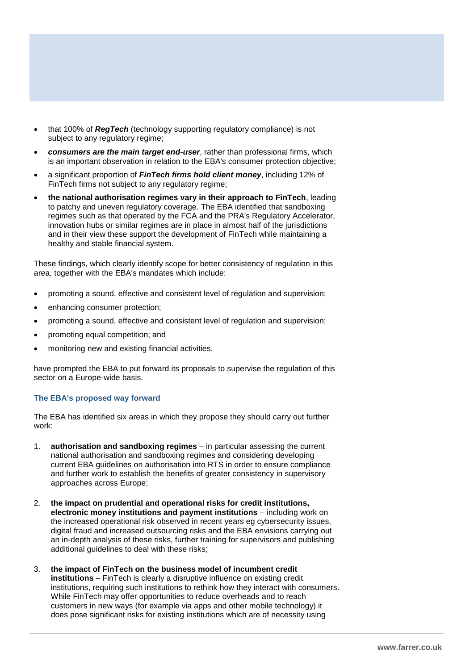- that 100% of *RegTech* (technology supporting regulatory compliance) is not subject to any regulatory regime;
- *consumers are the main target end-user*, rather than professional firms, which is an important observation in relation to the EBA's consumer protection objective;
- a significant proportion of *FinTech firms hold client money*, including 12% of FinTech firms not subject to any regulatory regime;
- **the national authorisation regimes vary in their approach to FinTech**, leading to patchy and uneven regulatory coverage. The EBA identified that sandboxing regimes such as that operated by the FCA and the PRA's Regulatory Accelerator, innovation hubs or similar regimes are in place in almost half of the jurisdictions and in their view these support the development of FinTech while maintaining a healthy and stable financial system.

These findings, which clearly identify scope for better consistency of regulation in this area, together with the EBA's mandates which include:

- promoting a sound, effective and consistent level of regulation and supervision;
- enhancing consumer protection;
- promoting a sound, effective and consistent level of regulation and supervision;
- promoting equal competition; and
- monitoring new and existing financial activities,

have prompted the EBA to put forward its proposals to supervise the regulation of this sector on a Europe-wide basis.

# **The EBA's proposed way forward**

The EBA has identified six areas in which they propose they should carry out further work:

- 1. **authorisation and sandboxing regimes** in particular assessing the current national authorisation and sandboxing regimes and considering developing current EBA guidelines on authorisation into RTS in order to ensure compliance and further work to establish the benefits of greater consistency in supervisory approaches across Europe;
- 2. **the impact on prudential and operational risks for credit institutions, electronic money institutions and payment institutions** – including work on the increased operational risk observed in recent years eg cybersecurity issues, digital fraud and increased outsourcing risks and the EBA envisions carrying out an in-depth analysis of these risks, further training for supervisors and publishing additional guidelines to deal with these risks;
- 3. **the impact of FinTech on the business model of incumbent credit institutions** – FinTech is clearly a disruptive influence on existing credit institutions, requiring such institutions to rethink how they interact with consumers. While FinTech may offer opportunities to reduce overheads and to reach customers in new ways (for example via apps and other mobile technology) it does pose significant risks for existing institutions which are of necessity using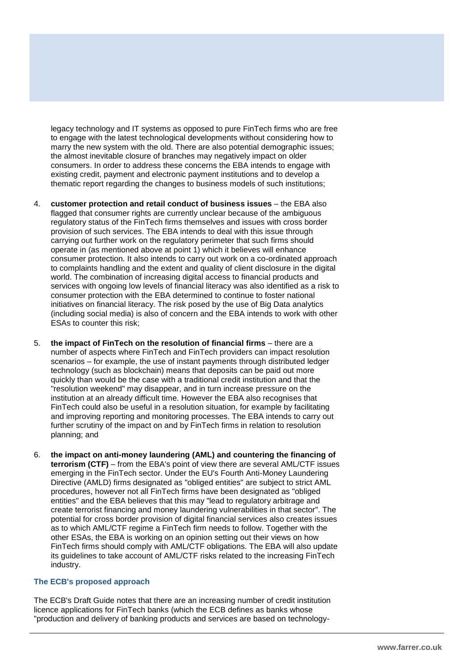legacy technology and IT systems as opposed to pure FinTech firms who are free to engage with the latest technological developments without considering how to marry the new system with the old. There are also potential demographic issues; the almost inevitable closure of branches may negatively impact on older consumers. In order to address these concerns the EBA intends to engage with existing credit, payment and electronic payment institutions and to develop a thematic report regarding the changes to business models of such institutions;

- 4. **customer protection and retail conduct of business issues** the EBA also flagged that consumer rights are currently unclear because of the ambiguous regulatory status of the FinTech firms themselves and issues with cross border provision of such services. The EBA intends to deal with this issue through carrying out further work on the regulatory perimeter that such firms should operate in (as mentioned above at point 1) which it believes will enhance consumer protection. It also intends to carry out work on a co-ordinated approach to complaints handling and the extent and quality of client disclosure in the digital world. The combination of increasing digital access to financial products and services with ongoing low levels of financial literacy was also identified as a risk to consumer protection with the EBA determined to continue to foster national initiatives on financial literacy. The risk posed by the use of Big Data analytics (including social media) is also of concern and the EBA intends to work with other ESAs to counter this risk;
- 5. **the impact of FinTech on the resolution of financial firms** there are a number of aspects where FinTech and FinTech providers can impact resolution scenarios – for example, the use of instant payments through distributed ledger technology (such as blockchain) means that deposits can be paid out more quickly than would be the case with a traditional credit institution and that the "resolution weekend" may disappear, and in turn increase pressure on the institution at an already difficult time. However the EBA also recognises that FinTech could also be useful in a resolution situation, for example by facilitating and improving reporting and monitoring processes. The EBA intends to carry out further scrutiny of the impact on and by FinTech firms in relation to resolution planning; and
- 6. **the impact on anti-money laundering (AML) and countering the financing of terrorism (CTF)** – from the EBA's point of view there are several AML/CTF issues emerging in the FinTech sector. Under the EU's Fourth Anti-Money Laundering Directive (AMLD) firms designated as "obliged entities" are subject to strict AML procedures, however not all FinTech firms have been designated as "obliged entities" and the EBA believes that this may "lead to regulatory arbitrage and create terrorist financing and money laundering vulnerabilities in that sector". The potential for cross border provision of digital financial services also creates issues as to which AML/CTF regime a FinTech firm needs to follow. Together with the other ESAs, the EBA is working on an opinion setting out their views on how FinTech firms should comply with AML/CTF obligations. The EBA will also update its guidelines to take account of AML/CTF risks related to the increasing FinTech industry.

#### **The ECB's proposed approach**

The ECB's Draft Guide notes that there are an increasing number of credit institution licence applications for FinTech banks (which the ECB defines as banks whose "production and delivery of banking products and services are based on technology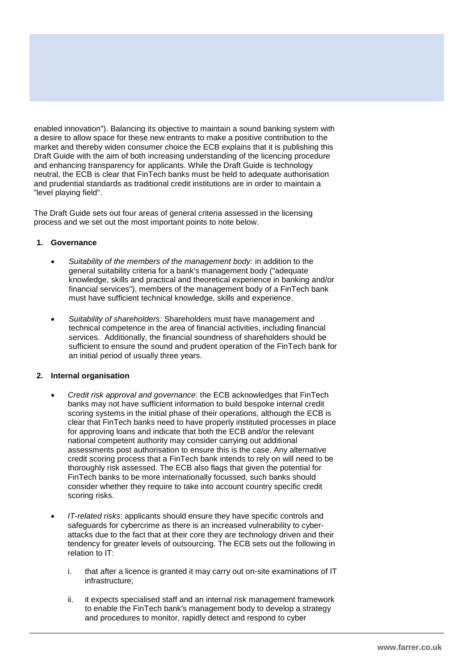enabled innovation"). Balancing its objective to maintain a sound banking system with a desire to allow space for these new entrants to make a positive contribution to the market and thereby widen consumer choice the ECB explains that it is publishing this Draft Guide with the aim of both increasing understanding of the licencing procedure and enhancing transparency for applicants. While the Draft Guide is technology neutral, the ECB is clear that FinTech banks must be held to adequate authorisation and prudential standards as traditional credit institutions are in order to maintain a "level playing field".

The Draft Guide sets out four areas of general criteria assessed in the licensing process and we set out the most important points to note below.

### **1. Governance**

- *Suitability of the members of the management body:* in addition to the general suitability criteria for a bank's management body ("adequate knowledge, skills and practical and theoretical experience in banking and/or financial services"), members of the management body of a FinTech bank must have sufficient technical knowledge, skills and experience.
- *Suitability of shareholders:* Shareholders must have management and technical competence in the area of financial activities, including financial services. Additionally, the financial soundness of shareholders should be sufficient to ensure the sound and prudent operation of the FinTech bank for an initial period of usually three years.

# **2. Internal organisation**

- *Credit risk approval and governance*: the ECB acknowledges that FinTech banks may not have sufficient information to build bespoke internal credit scoring systems in the initial phase of their operations, although the ECB is clear that FinTech banks need to have properly instituted processes in place for approving loans and indicate that both the ECB and/or the relevant national competent authority may consider carrying out additional assessments post authorisation to ensure this is the case. Any alternative credit scoring process that a FinTech bank intends to rely on will need to be thoroughly risk assessed. The ECB also flags that given the potential for FinTech banks to be more internationally focussed, such banks should consider whether they require to take into account country specific credit scoring risks.
- *IT-related risks*: applicants should ensure they have specific controls and safeguards for cybercrime as there is an increased vulnerability to cyberattacks due to the fact that at their core they are technology driven and their tendency for greater levels of outsourcing. The ECB sets out the following in relation to IT:
	- i. that after a licence is granted it may carry out on-site examinations of IT infrastructure;
	- ii. it expects specialised staff and an internal risk management framework to enable the FinTech bank's management body to develop a strategy and procedures to monitor, rapidly detect and respond to cyber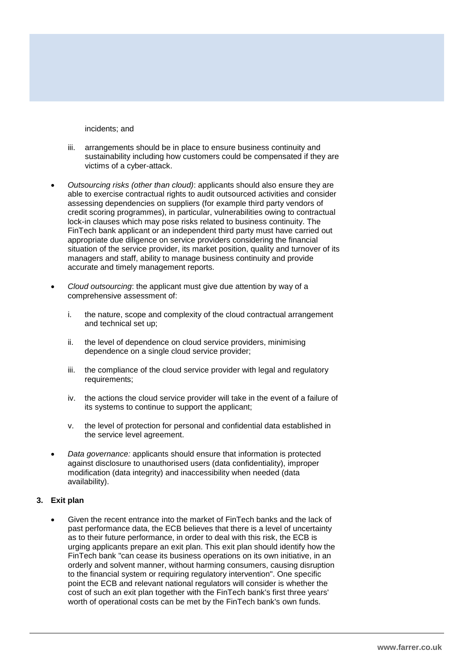incidents; and

- iii. arrangements should be in place to ensure business continuity and sustainability including how customers could be compensated if they are victims of a cyber-attack.
- *Outsourcing risks (other than cloud)*: applicants should also ensure they are able to exercise contractual rights to audit outsourced activities and consider assessing dependencies on suppliers (for example third party vendors of credit scoring programmes), in particular, vulnerabilities owing to contractual lock-in clauses which may pose risks related to business continuity. The FinTech bank applicant or an independent third party must have carried out appropriate due diligence on service providers considering the financial situation of the service provider, its market position, quality and turnover of its managers and staff, ability to manage business continuity and provide accurate and timely management reports.
- *Cloud outsourcing*: the applicant must give due attention by way of a comprehensive assessment of:
	- i. the nature, scope and complexity of the cloud contractual arrangement and technical set up;
	- ii. the level of dependence on cloud service providers, minimising dependence on a single cloud service provider;
	- iii. the compliance of the cloud service provider with legal and regulatory requirements;
	- iv. the actions the cloud service provider will take in the event of a failure of its systems to continue to support the applicant;
	- v. the level of protection for personal and confidential data established in the service level agreement.
- *Data governance:* applicants should ensure that information is protected against disclosure to unauthorised users (data confidentiality), improper modification (data integrity) and inaccessibility when needed (data availability).

#### **3. Exit plan**

 Given the recent entrance into the market of FinTech banks and the lack of past performance data, the ECB believes that there is a level of uncertainty as to their future performance, in order to deal with this risk, the ECB is urging applicants prepare an exit plan. This exit plan should identify how the FinTech bank "can cease its business operations on its own initiative, in an orderly and solvent manner, without harming consumers, causing disruption to the financial system or requiring regulatory intervention". One specific point the ECB and relevant national regulators will consider is whether the cost of such an exit plan together with the FinTech bank's first three years' worth of operational costs can be met by the FinTech bank's own funds.